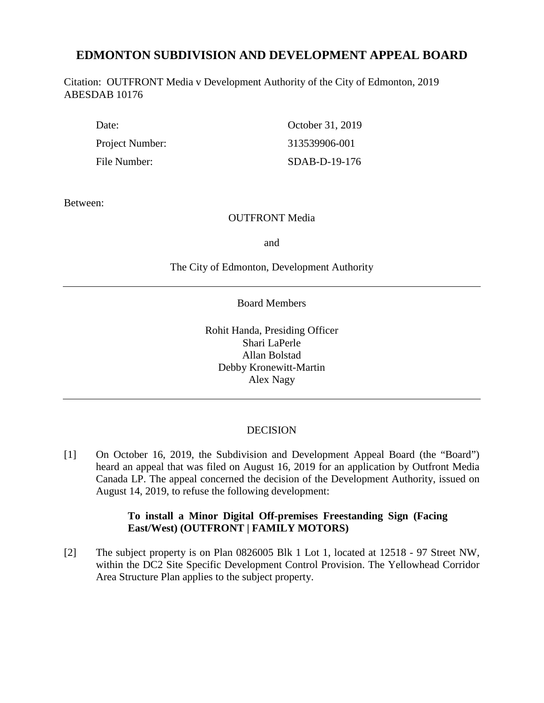# **EDMONTON SUBDIVISION AND DEVELOPMENT APPEAL BOARD**

Citation: OUTFRONT Media v Development Authority of the City of Edmonton, 2019 ABESDAB 10176

| Date:           | October 31, 2019 |
|-----------------|------------------|
| Project Number: | 313539906-001    |
| File Number:    | SDAB-D-19-176    |

Between:

## OUTFRONT Media

and

The City of Edmonton, Development Authority

Board Members

Rohit Handa, Presiding Officer Shari LaPerle Allan Bolstad Debby Kronewitt-Martin Alex Nagy

# DECISION

[1] On October 16, 2019, the Subdivision and Development Appeal Board (the "Board") heard an appeal that was filed on August 16, 2019 for an application by Outfront Media Canada LP. The appeal concerned the decision of the Development Authority, issued on August 14, 2019, to refuse the following development:

# **To install a Minor Digital Off-premises Freestanding Sign (Facing East/West) (OUTFRONT | FAMILY MOTORS)**

[2] The subject property is on Plan 0826005 Blk 1 Lot 1, located at 12518 - 97 Street NW, within the DC2 Site Specific Development Control Provision. The Yellowhead Corridor Area Structure Plan applies to the subject property.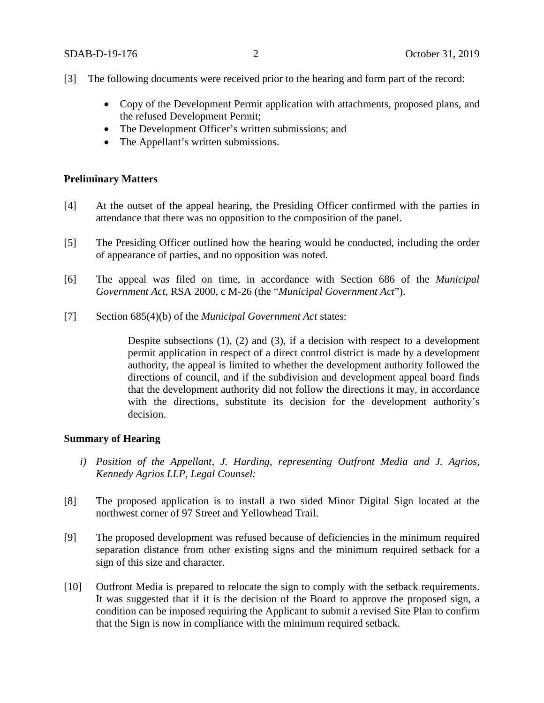- [3] The following documents were received prior to the hearing and form part of the record:
	- Copy of the Development Permit application with attachments, proposed plans, and the refused Development Permit;
	- The Development Officer's written submissions; and
	- The Appellant's written submissions.

### **Preliminary Matters**

- [4] At the outset of the appeal hearing, the Presiding Officer confirmed with the parties in attendance that there was no opposition to the composition of the panel.
- [5] The Presiding Officer outlined how the hearing would be conducted, including the order of appearance of parties, and no opposition was noted.
- [6] The appeal was filed on time, in accordance with Section 686 of the *Municipal Government Act*, RSA 2000, c M-26 (the "*Municipal Government Act*").
- [7] Section 685(4)(b) of the *Municipal Government Act* states:

Despite subsections (1), (2) and (3), if a decision with respect to a development permit application in respect of a direct control district is made by a development authority, the appeal is limited to whether the development authority followed the directions of council, and if the subdivision and development appeal board finds that the development authority did not follow the directions it may, in accordance with the directions, substitute its decision for the development authority's decision.

#### **Summary of Hearing**

- *i) Position of the Appellant, J. Harding, representing Outfront Media and J. Agrios, Kennedy Agrios LLP, Legal Counsel:*
- [8] The proposed application is to install a two sided Minor Digital Sign located at the northwest corner of 97 Street and Yellowhead Trail.
- [9] The proposed development was refused because of deficiencies in the minimum required separation distance from other existing signs and the minimum required setback for a sign of this size and character.
- [10] Outfront Media is prepared to relocate the sign to comply with the setback requirements. It was suggested that if it is the decision of the Board to approve the proposed sign, a condition can be imposed requiring the Applicant to submit a revised Site Plan to confirm that the Sign is now in compliance with the minimum required setback.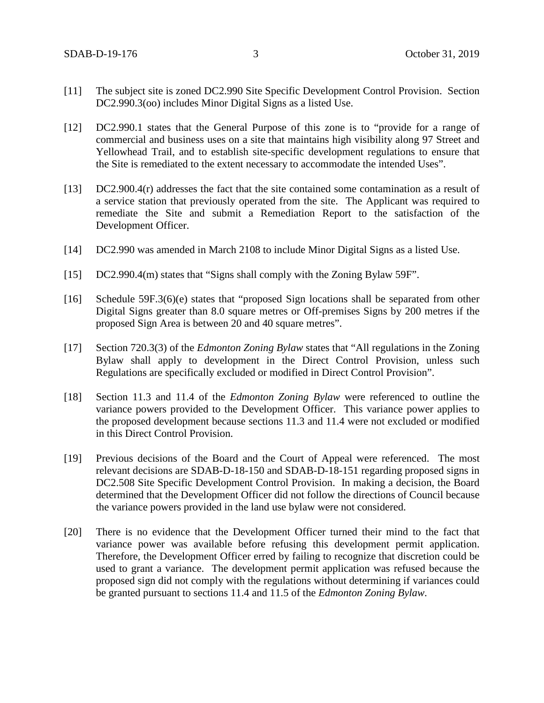- [11] The subject site is zoned DC2.990 Site Specific Development Control Provision. Section DC2.990.3(oo) includes Minor Digital Signs as a listed Use.
- [12] DC2.990.1 states that the General Purpose of this zone is to "provide for a range of commercial and business uses on a site that maintains high visibility along 97 Street and Yellowhead Trail, and to establish site-specific development regulations to ensure that the Site is remediated to the extent necessary to accommodate the intended Uses".
- [13] DC2.900.4(r) addresses the fact that the site contained some contamination as a result of a service station that previously operated from the site. The Applicant was required to remediate the Site and submit a Remediation Report to the satisfaction of the Development Officer.
- [14] DC2.990 was amended in March 2108 to include Minor Digital Signs as a listed Use.
- [15] DC2.990.4(m) states that "Signs shall comply with the Zoning Bylaw 59F".
- [16] Schedule 59F.3(6)(e) states that "proposed Sign locations shall be separated from other Digital Signs greater than 8.0 square metres or Off-premises Signs by 200 metres if the proposed Sign Area is between 20 and 40 square metres".
- [17] Section 720.3(3) of the *Edmonton Zoning Bylaw* states that "All regulations in the Zoning Bylaw shall apply to development in the Direct Control Provision, unless such Regulations are specifically excluded or modified in Direct Control Provision".
- [18] Section 11.3 and 11.4 of the *Edmonton Zoning Bylaw* were referenced to outline the variance powers provided to the Development Officer. This variance power applies to the proposed development because sections 11.3 and 11.4 were not excluded or modified in this Direct Control Provision.
- [19] Previous decisions of the Board and the Court of Appeal were referenced. The most relevant decisions are SDAB-D-18-150 and SDAB-D-18-151 regarding proposed signs in DC2.508 Site Specific Development Control Provision. In making a decision, the Board determined that the Development Officer did not follow the directions of Council because the variance powers provided in the land use bylaw were not considered.
- [20] There is no evidence that the Development Officer turned their mind to the fact that variance power was available before refusing this development permit application. Therefore, the Development Officer erred by failing to recognize that discretion could be used to grant a variance. The development permit application was refused because the proposed sign did not comply with the regulations without determining if variances could be granted pursuant to sections 11.4 and 11.5 of the *Edmonton Zoning Bylaw*.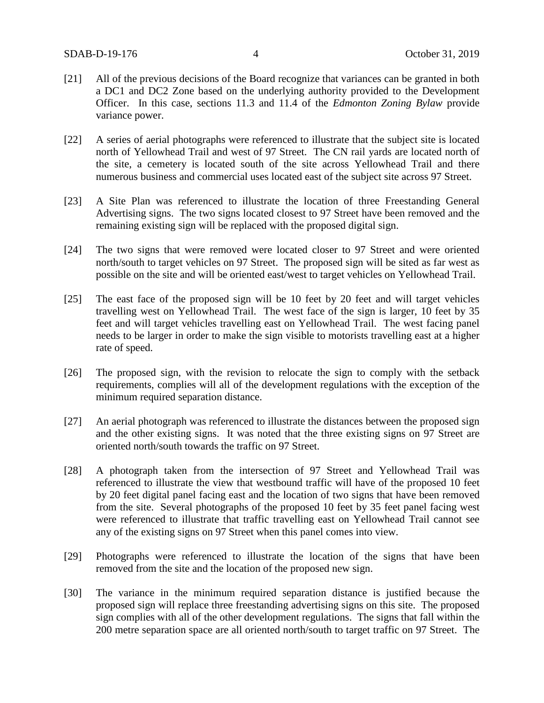- [21] All of the previous decisions of the Board recognize that variances can be granted in both a DC1 and DC2 Zone based on the underlying authority provided to the Development Officer. In this case, sections 11.3 and 11.4 of the *Edmonton Zoning Bylaw* provide variance power.
- [22] A series of aerial photographs were referenced to illustrate that the subject site is located north of Yellowhead Trail and west of 97 Street. The CN rail yards are located north of the site, a cemetery is located south of the site across Yellowhead Trail and there numerous business and commercial uses located east of the subject site across 97 Street.
- [23] A Site Plan was referenced to illustrate the location of three Freestanding General Advertising signs. The two signs located closest to 97 Street have been removed and the remaining existing sign will be replaced with the proposed digital sign.
- [24] The two signs that were removed were located closer to 97 Street and were oriented north/south to target vehicles on 97 Street. The proposed sign will be sited as far west as possible on the site and will be oriented east/west to target vehicles on Yellowhead Trail.
- [25] The east face of the proposed sign will be 10 feet by 20 feet and will target vehicles travelling west on Yellowhead Trail. The west face of the sign is larger, 10 feet by 35 feet and will target vehicles travelling east on Yellowhead Trail. The west facing panel needs to be larger in order to make the sign visible to motorists travelling east at a higher rate of speed.
- [26] The proposed sign, with the revision to relocate the sign to comply with the setback requirements, complies will all of the development regulations with the exception of the minimum required separation distance.
- [27] An aerial photograph was referenced to illustrate the distances between the proposed sign and the other existing signs. It was noted that the three existing signs on 97 Street are oriented north/south towards the traffic on 97 Street.
- [28] A photograph taken from the intersection of 97 Street and Yellowhead Trail was referenced to illustrate the view that westbound traffic will have of the proposed 10 feet by 20 feet digital panel facing east and the location of two signs that have been removed from the site. Several photographs of the proposed 10 feet by 35 feet panel facing west were referenced to illustrate that traffic travelling east on Yellowhead Trail cannot see any of the existing signs on 97 Street when this panel comes into view.
- [29] Photographs were referenced to illustrate the location of the signs that have been removed from the site and the location of the proposed new sign.
- [30] The variance in the minimum required separation distance is justified because the proposed sign will replace three freestanding advertising signs on this site. The proposed sign complies with all of the other development regulations. The signs that fall within the 200 metre separation space are all oriented north/south to target traffic on 97 Street. The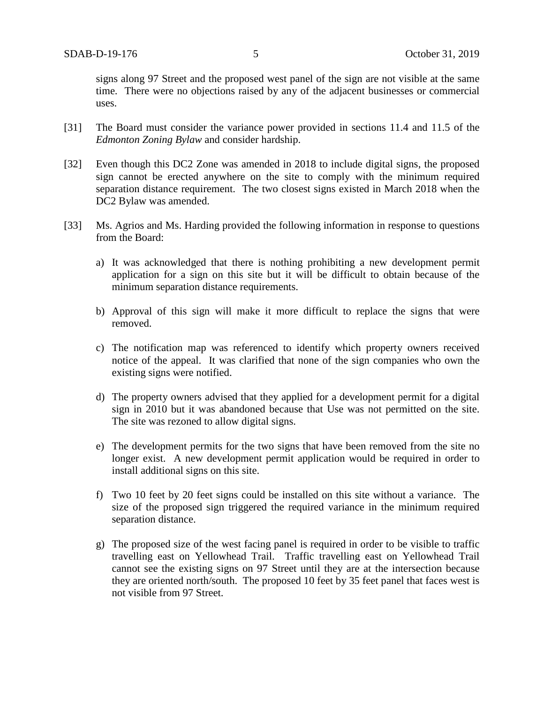signs along 97 Street and the proposed west panel of the sign are not visible at the same time. There were no objections raised by any of the adjacent businesses or commercial uses.

- [31] The Board must consider the variance power provided in sections 11.4 and 11.5 of the *Edmonton Zoning Bylaw* and consider hardship.
- [32] Even though this DC2 Zone was amended in 2018 to include digital signs, the proposed sign cannot be erected anywhere on the site to comply with the minimum required separation distance requirement. The two closest signs existed in March 2018 when the DC2 Bylaw was amended.
- [33] Ms. Agrios and Ms. Harding provided the following information in response to questions from the Board:
	- a) It was acknowledged that there is nothing prohibiting a new development permit application for a sign on this site but it will be difficult to obtain because of the minimum separation distance requirements.
	- b) Approval of this sign will make it more difficult to replace the signs that were removed.
	- c) The notification map was referenced to identify which property owners received notice of the appeal. It was clarified that none of the sign companies who own the existing signs were notified.
	- d) The property owners advised that they applied for a development permit for a digital sign in 2010 but it was abandoned because that Use was not permitted on the site. The site was rezoned to allow digital signs.
	- e) The development permits for the two signs that have been removed from the site no longer exist. A new development permit application would be required in order to install additional signs on this site.
	- f) Two 10 feet by 20 feet signs could be installed on this site without a variance. The size of the proposed sign triggered the required variance in the minimum required separation distance.
	- g) The proposed size of the west facing panel is required in order to be visible to traffic travelling east on Yellowhead Trail. Traffic travelling east on Yellowhead Trail cannot see the existing signs on 97 Street until they are at the intersection because they are oriented north/south. The proposed 10 feet by 35 feet panel that faces west is not visible from 97 Street.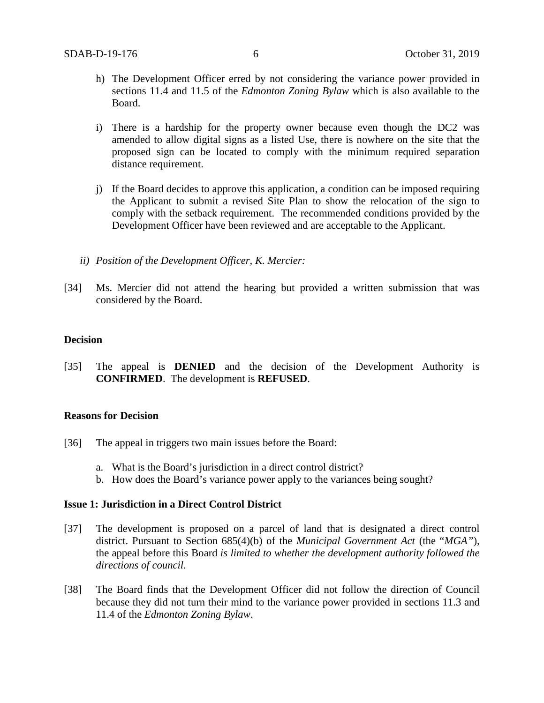- h) The Development Officer erred by not considering the variance power provided in sections 11.4 and 11.5 of the *Edmonton Zoning Bylaw* which is also available to the Board.
- i) There is a hardship for the property owner because even though the DC2 was amended to allow digital signs as a listed Use, there is nowhere on the site that the proposed sign can be located to comply with the minimum required separation distance requirement.
- j) If the Board decides to approve this application, a condition can be imposed requiring the Applicant to submit a revised Site Plan to show the relocation of the sign to comply with the setback requirement. The recommended conditions provided by the Development Officer have been reviewed and are acceptable to the Applicant.
- *ii) Position of the Development Officer, K. Mercier:*
- [34] Ms. Mercier did not attend the hearing but provided a written submission that was considered by the Board.

#### **Decision**

[35] The appeal is **DENIED** and the decision of the Development Authority is **CONFIRMED**. The development is **REFUSED**.

### **Reasons for Decision**

- [36] The appeal in triggers two main issues before the Board:
	- a. What is the Board's jurisdiction in a direct control district?
	- b. How does the Board's variance power apply to the variances being sought?

### **Issue 1: Jurisdiction in a Direct Control District**

- [37] The development is proposed on a parcel of land that is designated a direct control district. Pursuant to Section 685(4)(b) of the *Municipal Government Act* (the "*MGA"*), the appeal before this Board *is limited to whether the development authority followed the directions of council.*
- [38] The Board finds that the Development Officer did not follow the direction of Council because they did not turn their mind to the variance power provided in sections 11.3 and 11.4 of the *Edmonton Zoning Bylaw*.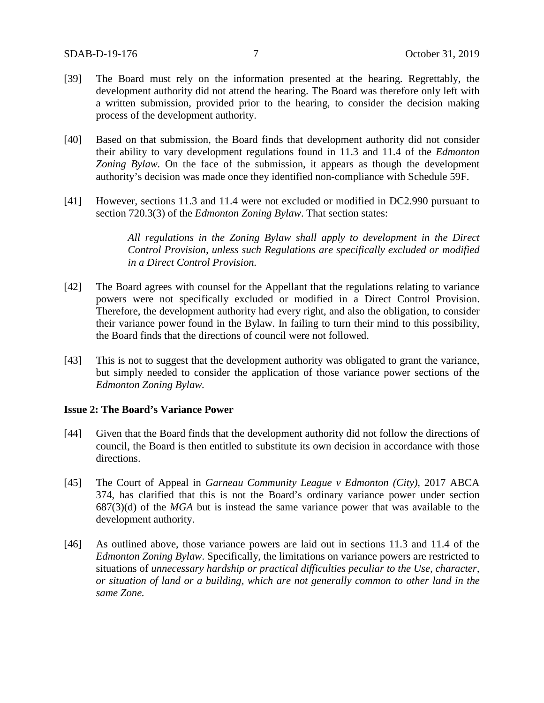- [39] The Board must rely on the information presented at the hearing. Regrettably, the development authority did not attend the hearing. The Board was therefore only left with a written submission, provided prior to the hearing, to consider the decision making process of the development authority.
- [40] Based on that submission, the Board finds that development authority did not consider their ability to vary development regulations found in 11.3 and 11.4 of the *Edmonton Zoning Bylaw.* On the face of the submission, it appears as though the development authority's decision was made once they identified non-compliance with Schedule 59F.
- [41] However, sections 11.3 and 11.4 were not excluded or modified in DC2.990 pursuant to section 720.3(3) of the *Edmonton Zoning Bylaw*. That section states:

*All regulations in the Zoning Bylaw shall apply to development in the Direct Control Provision, unless such Regulations are specifically excluded or modified in a Direct Control Provision.*

- [42] The Board agrees with counsel for the Appellant that the regulations relating to variance powers were not specifically excluded or modified in a Direct Control Provision. Therefore, the development authority had every right, and also the obligation, to consider their variance power found in the Bylaw. In failing to turn their mind to this possibility, the Board finds that the directions of council were not followed.
- [43] This is not to suggest that the development authority was obligated to grant the variance, but simply needed to consider the application of those variance power sections of the *Edmonton Zoning Bylaw.*

#### **Issue 2: The Board's Variance Power**

- [44] Given that the Board finds that the development authority did not follow the directions of council, the Board is then entitled to substitute its own decision in accordance with those directions.
- [45] The Court of Appeal in *Garneau Community League v Edmonton (City)*, 2017 ABCA 374, has clarified that this is not the Board's ordinary variance power under section 687(3)(d) of the *MGA* but is instead the same variance power that was available to the development authority.
- [46] As outlined above, those variance powers are laid out in sections 11.3 and 11.4 of the *Edmonton Zoning Bylaw*. Specifically, the limitations on variance powers are restricted to situations of *unnecessary hardship or practical difficulties peculiar to the Use, character, or situation of land or a building, which are not generally common to other land in the same Zone.*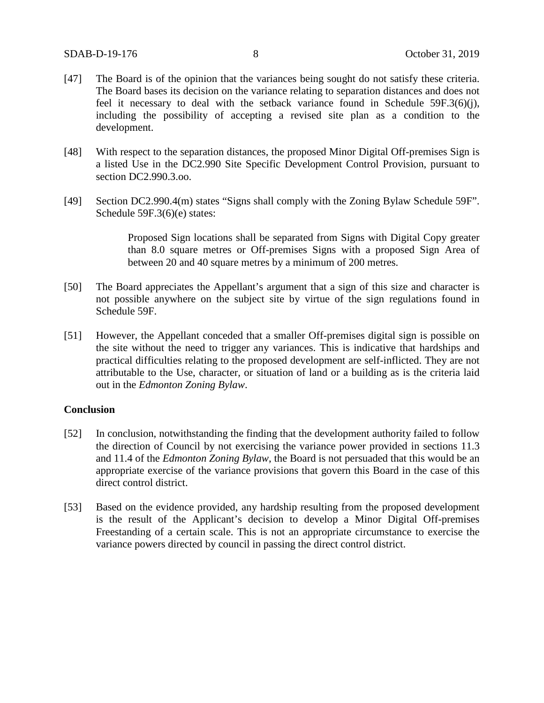- [47] The Board is of the opinion that the variances being sought do not satisfy these criteria. The Board bases its decision on the variance relating to separation distances and does not feel it necessary to deal with the setback variance found in Schedule 59F.3(6)(j), including the possibility of accepting a revised site plan as a condition to the development.
- [48] With respect to the separation distances, the proposed Minor Digital Off-premises Sign is a listed Use in the DC2.990 Site Specific Development Control Provision, pursuant to section DC2.990.3.oo.
- [49] Section DC2.990.4(m) states "Signs shall comply with the Zoning Bylaw Schedule 59F". Schedule 59F.3(6)(e) states:

Proposed Sign locations shall be separated from Signs with Digital Copy greater than 8.0 square metres or Off-premises Signs with a proposed Sign Area of between 20 and 40 square metres by a minimum of 200 metres.

- [50] The Board appreciates the Appellant's argument that a sign of this size and character is not possible anywhere on the subject site by virtue of the sign regulations found in Schedule 59F.
- [51] However, the Appellant conceded that a smaller Off-premises digital sign is possible on the site without the need to trigger any variances. This is indicative that hardships and practical difficulties relating to the proposed development are self-inflicted. They are not attributable to the Use, character, or situation of land or a building as is the criteria laid out in the *Edmonton Zoning Bylaw*.

#### **Conclusion**

- [52] In conclusion, notwithstanding the finding that the development authority failed to follow the direction of Council by not exercising the variance power provided in sections 11.3 and 11.4 of the *Edmonton Zoning Bylaw*, the Board is not persuaded that this would be an appropriate exercise of the variance provisions that govern this Board in the case of this direct control district.
- [53] Based on the evidence provided, any hardship resulting from the proposed development is the result of the Applicant's decision to develop a Minor Digital Off-premises Freestanding of a certain scale. This is not an appropriate circumstance to exercise the variance powers directed by council in passing the direct control district.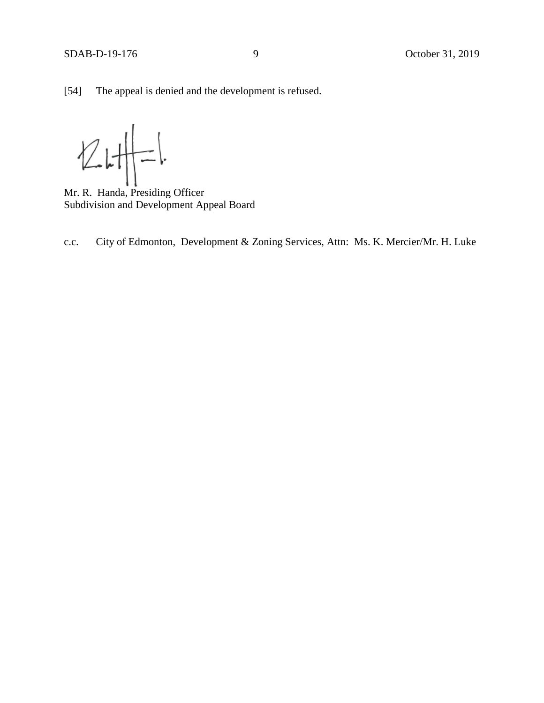$Z$ 

Mr. R. Handa, Presiding Officer Subdivision and Development Appeal Board

c.c. City of Edmonton, Development & Zoning Services, Attn: Ms. K. Mercier/Mr. H. Luke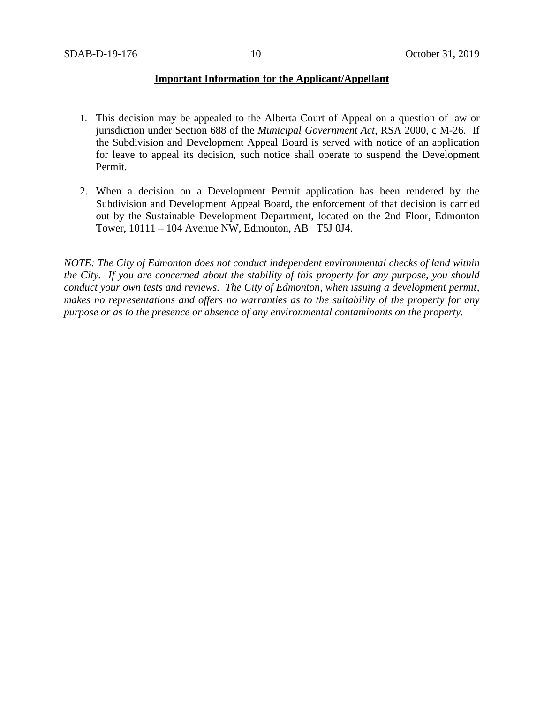## **Important Information for the Applicant/Appellant**

- 1. This decision may be appealed to the Alberta Court of Appeal on a question of law or jurisdiction under Section 688 of the *Municipal Government Act*, RSA 2000, c M-26. If the Subdivision and Development Appeal Board is served with notice of an application for leave to appeal its decision, such notice shall operate to suspend the Development Permit.
- 2. When a decision on a Development Permit application has been rendered by the Subdivision and Development Appeal Board, the enforcement of that decision is carried out by the Sustainable Development Department, located on the 2nd Floor, Edmonton Tower, 10111 – 104 Avenue NW, Edmonton, AB T5J 0J4.

*NOTE: The City of Edmonton does not conduct independent environmental checks of land within the City. If you are concerned about the stability of this property for any purpose, you should conduct your own tests and reviews. The City of Edmonton, when issuing a development permit, makes no representations and offers no warranties as to the suitability of the property for any purpose or as to the presence or absence of any environmental contaminants on the property.*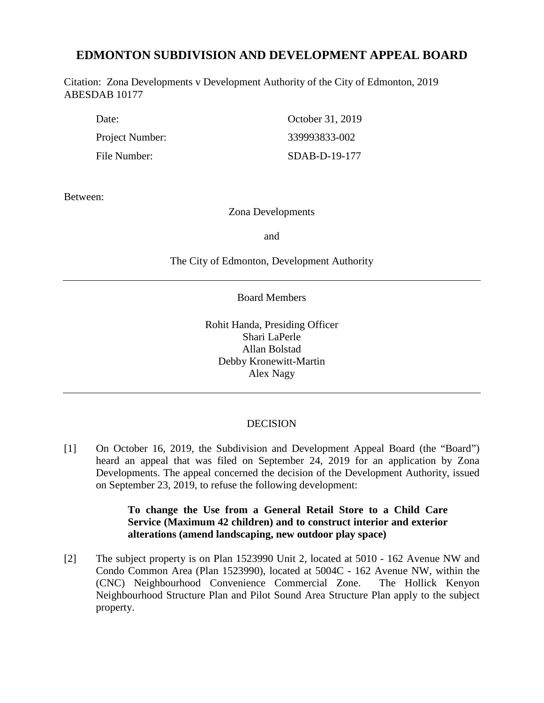# **EDMONTON SUBDIVISION AND DEVELOPMENT APPEAL BOARD**

Citation: Zona Developments v Development Authority of the City of Edmonton, 2019 ABESDAB 10177

| Date:           | October 31, 2019 |
|-----------------|------------------|
| Project Number: | 339993833-002    |
| File Number:    | SDAB-D-19-177    |

Between:

# Zona Developments

and

The City of Edmonton, Development Authority

Board Members

Rohit Handa, Presiding Officer Shari LaPerle Allan Bolstad Debby Kronewitt-Martin Alex Nagy

#### **DECISION**

[1] On October 16, 2019, the Subdivision and Development Appeal Board (the "Board") heard an appeal that was filed on September 24, 2019 for an application by Zona Developments. The appeal concerned the decision of the Development Authority, issued on September 23, 2019, to refuse the following development:

# **To change the Use from a General Retail Store to a Child Care Service (Maximum 42 children) and to construct interior and exterior alterations (amend landscaping, new outdoor play space)**

[2] The subject property is on Plan 1523990 Unit 2, located at 5010 - 162 Avenue NW and Condo Common Area (Plan 1523990), located at 5004C - 162 Avenue NW, within the (CNC) Neighbourhood Convenience Commercial Zone. The Hollick Kenyon Neighbourhood Structure Plan and Pilot Sound Area Structure Plan apply to the subject property.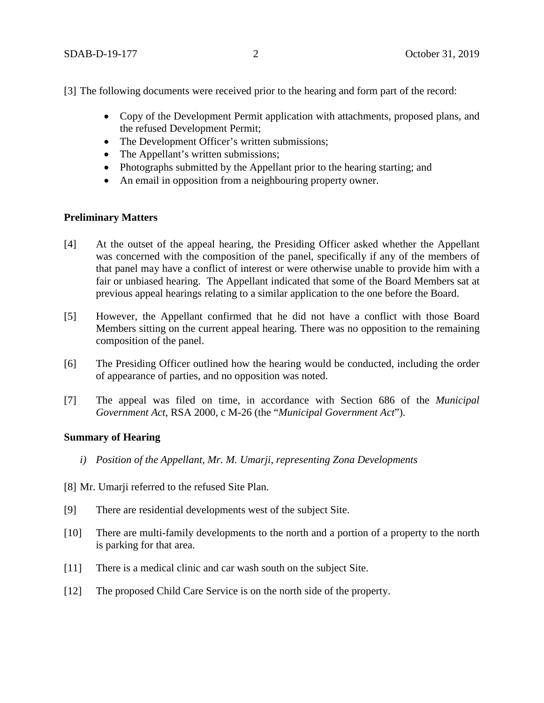[3] The following documents were received prior to the hearing and form part of the record:

- Copy of the Development Permit application with attachments, proposed plans, and the refused Development Permit;
- The Development Officer's written submissions;
- The Appellant's written submissions;
- Photographs submitted by the Appellant prior to the hearing starting; and
- An email in opposition from a neighbouring property owner.

# **Preliminary Matters**

- [4] At the outset of the appeal hearing, the Presiding Officer asked whether the Appellant was concerned with the composition of the panel, specifically if any of the members of that panel may have a conflict of interest or were otherwise unable to provide him with a fair or unbiased hearing. The Appellant indicated that some of the Board Members sat at previous appeal hearings relating to a similar application to the one before the Board.
- [5] However, the Appellant confirmed that he did not have a conflict with those Board Members sitting on the current appeal hearing. There was no opposition to the remaining composition of the panel.
- [6] The Presiding Officer outlined how the hearing would be conducted, including the order of appearance of parties, and no opposition was noted.
- [7] The appeal was filed on time, in accordance with Section 686 of the *Municipal Government Act*, RSA 2000, c M-26 (the "*Municipal Government Act*").

# **Summary of Hearing**

- *i) Position of the Appellant, Mr. M. Umarji, representing Zona Developments*
- [8] Mr. Umarji referred to the refused Site Plan.
- [9] There are residential developments west of the subject Site.
- [10] There are multi-family developments to the north and a portion of a property to the north is parking for that area.
- [11] There is a medical clinic and car wash south on the subject Site.
- [12] The proposed Child Care Service is on the north side of the property.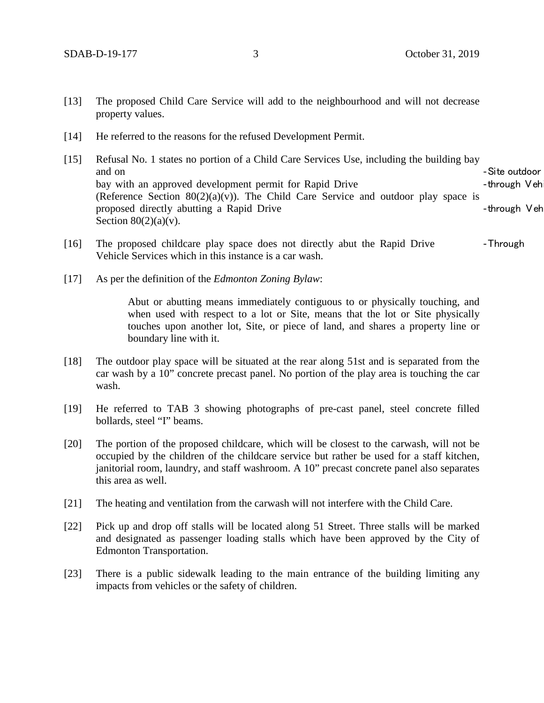- [13] The proposed Child Care Service will add to the neighbourhood and will not decrease property values.
- [14] He referred to the reasons for the refused Development Permit.
- [15] Refusal No. 1 states no portion of a Child Care Services Use, including the building bay and on **Figure 2** and on **Figure 2** and on **Figure 2** and on **Figure 2** and on **Figure 2** and on **Figure 2** and  $\overline{S}$  and  $\overline{S}$  and  $\overline{S}$  and  $\overline{S}$  and  $\overline{S}$  and  $\overline{S}$  and  $\overline{S}$  and  $\overline{S}$  and  $\overline{S$ bay with an approved development permit for Rapid Drive **Example 2018** - through Veh (Reference Section  $80(2)(a)(v)$ ). The Child Care Service and outdoor play space is proposed directly abutting a Rapid Drive **butting** a Rapid  $\theta$  **butting** a Rapid Drive **and Algebra** 2 and 2 and 2 and 2 and 2 and 2 and 2 and 2 and 2 and 2 and 2 and 2 and 2 and 2 and 2 and 2 and 2 and 2 and 2 and 2 and Section  $80(2)(a)(v)$ .
- [16] The proposed childcare play space does not directly abut the Rapid Drive Through Vehicle Services which in this instance is a car wash.
- [17] As per the definition of the *Edmonton Zoning Bylaw*:

Abut or abutting means immediately contiguous to or physically touching, and when used with respect to a lot or Site, means that the lot or Site physically touches upon another lot, Site, or piece of land, and shares a property line or boundary line with it.

- [18] The outdoor play space will be situated at the rear along 51st and is separated from the car wash by a 10" concrete precast panel. No portion of the play area is touching the car wash.
- [19] He referred to TAB 3 showing photographs of pre-cast panel, steel concrete filled bollards, steel "I" beams.
- [20] The portion of the proposed childcare, which will be closest to the carwash, will not be occupied by the children of the childcare service but rather be used for a staff kitchen, janitorial room, laundry, and staff washroom. A 10" precast concrete panel also separates this area as well.
- [21] The heating and ventilation from the carwash will not interfere with the Child Care.
- [22] Pick up and drop off stalls will be located along 51 Street. Three stalls will be marked and designated as passenger loading stalls which have been approved by the City of Edmonton Transportation.
- [23] There is a public sidewalk leading to the main entrance of the building limiting any impacts from vehicles or the safety of children.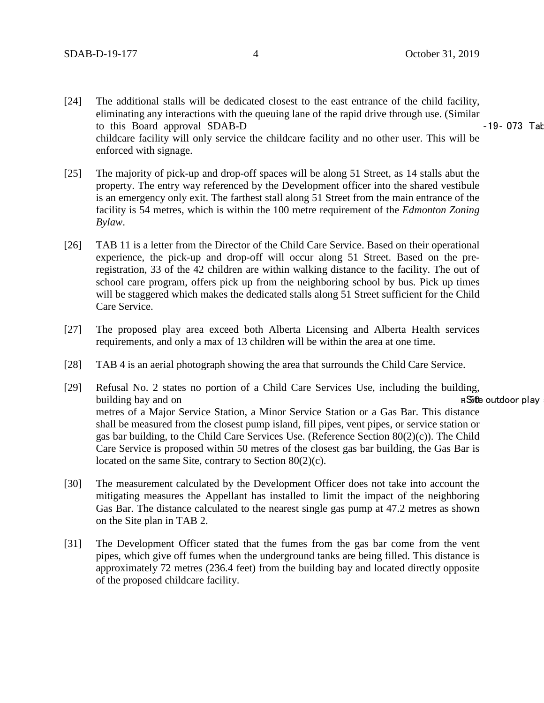- [24] The additional stalls will be dedicated closest to the east entrance of the child facility, eliminating any interactions with the queuing lane of the rapid drive through use. (Similar to this Board approval SDAB-D **•** 19- 073 Tab childcare facility will only service the childcare facility and no other user. This will be enforced with signage.
- [25] The majority of pick-up and drop-off spaces will be along 51 Street, as 14 stalls abut the property. The entry way referenced by the Development officer into the shared vestibule is an emergency only exit. The farthest stall along 51 Street from the main entrance of the facility is 54 metres, which is within the 100 metre requirement of the *Edmonton Zoning Bylaw*.
- [26] TAB 11 is a letter from the Director of the Child Care Service. Based on their operational experience, the pick-up and drop-off will occur along 51 Street. Based on the preregistration, 33 of the 42 children are within walking distance to the facility. The out of school care program, offers pick up from the neighboring school by bus. Pick up times will be staggered which makes the dedicated stalls along 51 Street sufficient for the Child Care Service.
- [27] The proposed play area exceed both Alberta Licensing and Alberta Health services requirements, and only a max of 13 children will be within the area at one time.
- [28] TAB 4 is an aerial photograph showing the area that surrounds the Child Care Service.
- [29] Refusal No. 2 states no portion of a Child Care Services Use, including the building, building bay and on n 50 extraordinary properties of the state of the state of the state of the state of the state of the state of the state of the state of the state of the state of the state of the state of the state of metres of a Major Service Station, a Minor Service Station or a Gas Bar. This distance shall be measured from the closest pump island, fill pipes, vent pipes, or service station or gas bar building, to the Child Care Services Use. (Reference Section 80(2)(c)). The Child Care Service is proposed within 50 metres of the closest gas bar building, the Gas Bar is located on the same Site, contrary to Section 80(2)(c).
- [30] The measurement calculated by the Development Officer does not take into account the mitigating measures the Appellant has installed to limit the impact of the neighboring Gas Bar. The distance calculated to the nearest single gas pump at 47.2 metres as shown on the Site plan in TAB 2.
- [31] The Development Officer stated that the fumes from the gas bar come from the vent pipes, which give off fumes when the underground tanks are being filled. This distance is approximately 72 metres (236.4 feet) from the building bay and located directly opposite of the proposed childcare facility.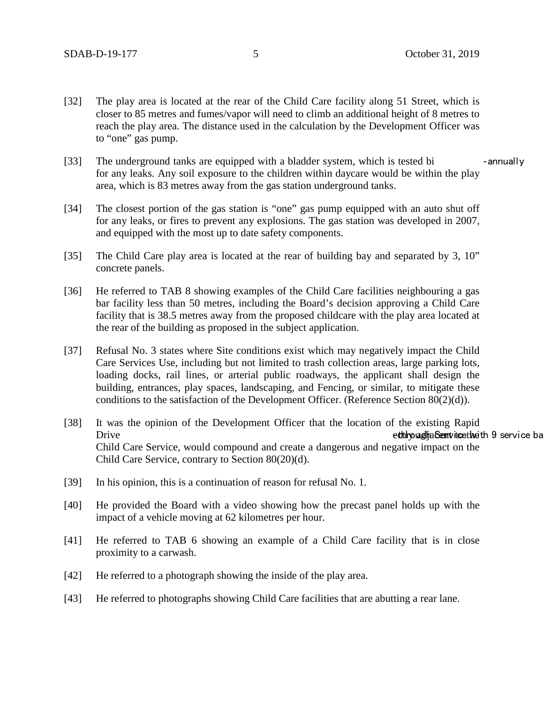- [32] The play area is located at the rear of the Child Care facility along 51 Street, which is closer to 85 metres and fumes/vapor will need to climb an additional height of 8 metres to reach the play area. The distance used in the calculation by the Development Officer was to "one" gas pump.
- [33] The underground tanks are equipped with a bladder system, which is tested bi eannually for any leaks. Any soil exposure to the children within daycare would be within the play area, which is 83 metres away from the gas station underground tanks.
- [34] The closest portion of the gas station is "one" gas pump equipped with an auto shut off for any leaks, or fires to prevent any explosions. The gas station was developed in 2007, and equipped with the most up to date safety components.
- [35] The Child Care play area is located at the rear of building bay and separated by 3, 10" concrete panels.
- [36] He referred to TAB 8 showing examples of the Child Care facilities neighbouring a gas bar facility less than 50 metres, including the Board's decision approving a Child Care facility that is 38.5 metres away from the proposed childcare with the play area located at the rear of the building as proposed in the subject application.
- [37] Refusal No. 3 states where Site conditions exist which may negatively impact the Child Care Services Use, including but not limited to trash collection areas, large parking lots, loading docks, rail lines, or arterial public roadways, the applicant shall design the building, entrances, play spaces, landscaping, and Fencing, or similar, to mitigate these conditions to the satisfaction of the Development Officer. (Reference Section 80(2)(d)).
- [38] It was the opinion of the Development Officer that the location of the existing Rapid Drive **Example 20** service bay and the through Service that the through Service bay editing the through Service bay Child Care Service, would compound and create a dangerous and negative impact on the Child Care Service, contrary to Section 80(20)(d).
- [39] In his opinion, this is a continuation of reason for refusal No. 1.
- [40] He provided the Board with a video showing how the precast panel holds up with the impact of a vehicle moving at 62 kilometres per hour.
- [41] He referred to TAB 6 showing an example of a Child Care facility that is in close proximity to a carwash.
- [42] He referred to a photograph showing the inside of the play area.
- [43] He referred to photographs showing Child Care facilities that are abutting a rear lane.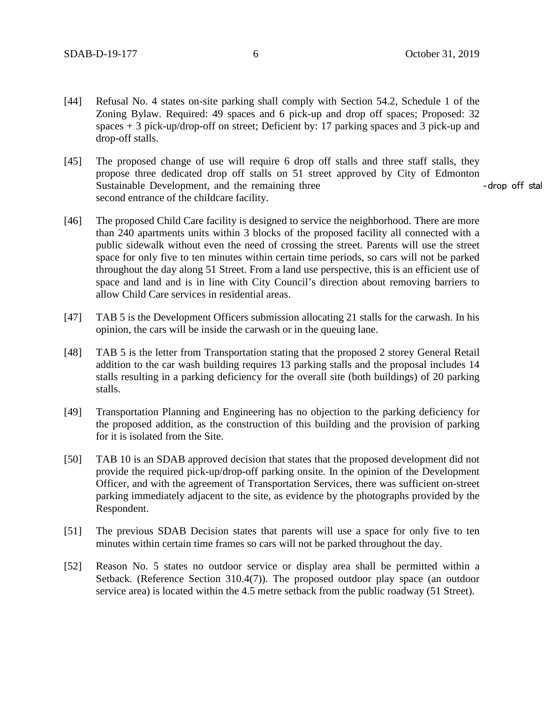- [44] Refusal No. 4 states on-site parking shall comply with Section 54.2, Schedule 1 of the Zoning Bylaw. Required: 49 spaces and 6 pick-up and drop off spaces; Proposed: 32 spaces + 3 pick-up/drop-off on street; Deficient by: 17 parking spaces and 3 pick-up and drop-off stalls.
- [45] The proposed change of use will require 6 drop off stalls and three staff stalls, they propose three dedicated drop off stalls on 51 street approved by City of Edmonton Sustainable Development, and the remaining three example of the state of the state of the state of the state of the state of the state of the state of the state of the state of the state of the state of the state of the st second entrance of the childcare facility.
- [46] The proposed Child Care facility is designed to service the neighborhood. There are more than 240 apartments units within 3 blocks of the proposed facility all connected with a public sidewalk without even the need of crossing the street. Parents will use the street space for only five to ten minutes within certain time periods, so cars will not be parked throughout the day along 51 Street. From a land use perspective, this is an efficient use of space and land and is in line with City Council's direction about removing barriers to allow Child Care services in residential areas.
- [47] TAB 5 is the Development Officers submission allocating 21 stalls for the carwash. In his opinion, the cars will be inside the carwash or in the queuing lane.
- [48] TAB 5 is the letter from Transportation stating that the proposed 2 storey General Retail addition to the car wash building requires 13 parking stalls and the proposal includes 14 stalls resulting in a parking deficiency for the overall site (both buildings) of 20 parking stalls.
- [49] Transportation Planning and Engineering has no objection to the parking deficiency for the proposed addition, as the construction of this building and the provision of parking for it is isolated from the Site.
- [50] TAB 10 is an SDAB approved decision that states that the proposed development did not provide the required pick-up/drop-off parking onsite. In the opinion of the Development Officer, and with the agreement of Transportation Services, there was sufficient on-street parking immediately adjacent to the site, as evidence by the photographs provided by the Respondent.
- [51] The previous SDAB Decision states that parents will use a space for only five to ten minutes within certain time frames so cars will not be parked throughout the day.
- [52] Reason No. 5 states no outdoor service or display area shall be permitted within a Setback. (Reference Section 310.4(7)). The proposed outdoor play space (an outdoor service area) is located within the 4.5 metre setback from the public roadway (51 Street).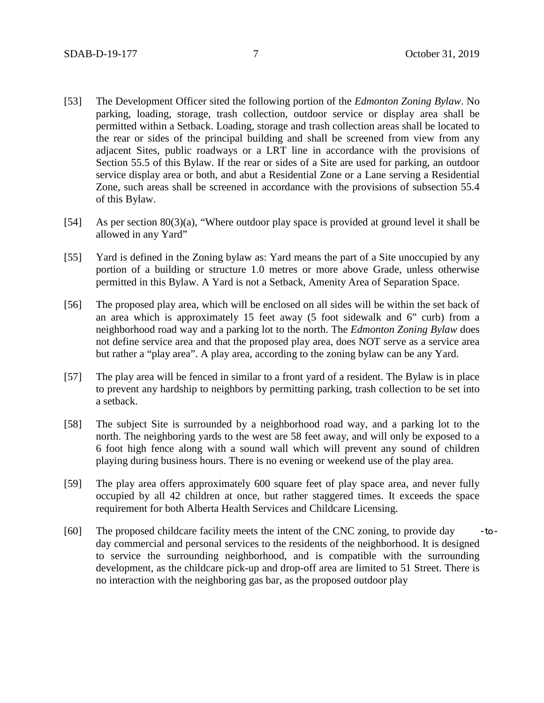- [53] The Development Officer sited the following portion of the *Edmonton Zoning Bylaw*. No parking, loading, storage, trash collection, outdoor service or display area shall be permitted within a Setback. Loading, storage and trash collection areas shall be located to the rear or sides of the principal building and shall be screened from view from any adjacent Sites, public roadways or a LRT line in accordance with the provisions of Section 55.5 of this Bylaw. If the rear or sides of a Site are used for parking, an outdoor service display area or both, and abut a Residential Zone or a Lane serving a Residential Zone, such areas shall be screened in accordance with the provisions of subsection 55.4 of this Bylaw.
- [54] As per section 80(3)(a), "Where outdoor play space is provided at ground level it shall be allowed in any Yard"
- [55] Yard is defined in the Zoning bylaw as: Yard means the part of a Site unoccupied by any portion of a building or structure 1.0 metres or more above Grade, unless otherwise permitted in this Bylaw. A Yard is not a Setback, Amenity Area of Separation Space.
- [56] The proposed play area, which will be enclosed on all sides will be within the set back of an area which is approximately 15 feet away (5 foot sidewalk and 6" curb) from a neighborhood road way and a parking lot to the north. The *Edmonton Zoning Bylaw* does not define service area and that the proposed play area, does NOT serve as a service area but rather a "play area". A play area, according to the zoning bylaw can be any Yard.
- [57] The play area will be fenced in similar to a front yard of a resident. The Bylaw is in place to prevent any hardship to neighbors by permitting parking, trash collection to be set into a setback.
- [58] The subject Site is surrounded by a neighborhood road way, and a parking lot to the north. The neighboring yards to the west are 58 feet away, and will only be exposed to a 6 foot high fence along with a sound wall which will prevent any sound of children playing during business hours. There is no evening or weekend use of the play area.
- [59] The play area offers approximately 600 square feet of play space area, and never fully occupied by all 42 children at once, but rather staggered times. It exceeds the space requirement for both Alberta Health Services and Childcare Licensing.
- [60] The proposed childcare facility meets the intent of the CNC zoning, to provide day -today commercial and personal services to the residents of the neighborhood. It is designed to service the surrounding neighborhood, and is compatible with the surrounding development, as the childcare pick-up and drop-off area are limited to 51 Street. There is no interaction with the neighboring gas bar, as the proposed outdoor play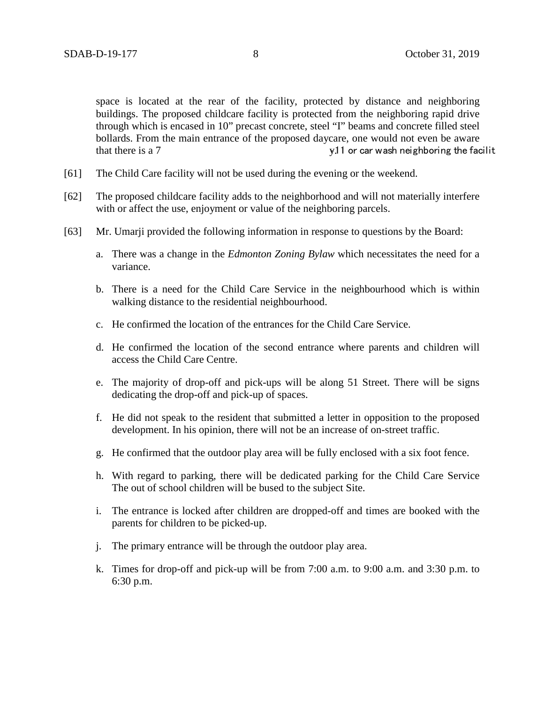space is located at the rear of the facility, protected by distance and neighboring buildings. The proposed childcare facility is protected from the neighboring rapid drive through which is encased in 10" precast concrete, steel "I" beams and concrete filled steel bollards. From the main entrance of the proposed daycare, one would not even be aware that there is a 7 **that there is a 7 • 11 or car wash neighboring the facilit** 

- [61] The Child Care facility will not be used during the evening or the weekend.
- [62] The proposed childcare facility adds to the neighborhood and will not materially interfere with or affect the use, enjoyment or value of the neighboring parcels.
- [63] Mr. Umarji provided the following information in response to questions by the Board:
	- a. There was a change in the *Edmonton Zoning Bylaw* which necessitates the need for a variance.
	- b. There is a need for the Child Care Service in the neighbourhood which is within walking distance to the residential neighbourhood.
	- c. He confirmed the location of the entrances for the Child Care Service.
	- d. He confirmed the location of the second entrance where parents and children will access the Child Care Centre.
	- e. The majority of drop-off and pick-ups will be along 51 Street. There will be signs dedicating the drop-off and pick-up of spaces.
	- f. He did not speak to the resident that submitted a letter in opposition to the proposed development. In his opinion, there will not be an increase of on-street traffic.
	- g. He confirmed that the outdoor play area will be fully enclosed with a six foot fence.
	- h. With regard to parking, there will be dedicated parking for the Child Care Service The out of school children will be bused to the subject Site.
	- i. The entrance is locked after children are dropped-off and times are booked with the parents for children to be picked-up.
	- j. The primary entrance will be through the outdoor play area.
	- k. Times for drop-off and pick-up will be from 7:00 a.m. to 9:00 a.m. and 3:30 p.m. to 6:30 p.m.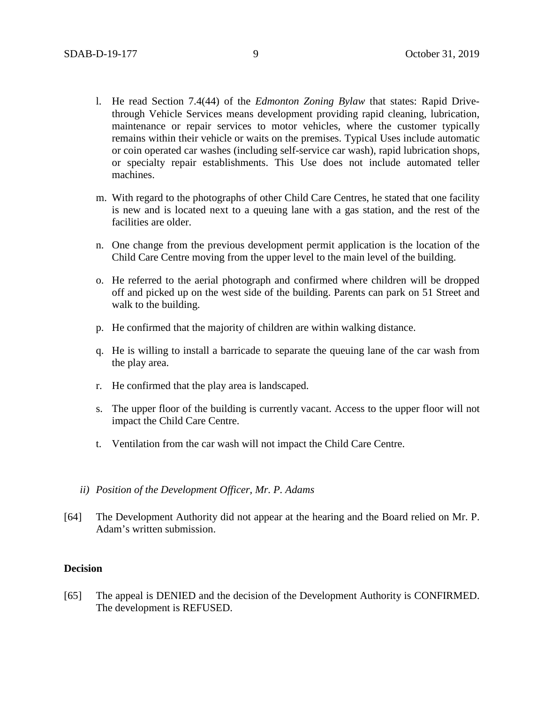- l. He read Section 7.4(44) of the *Edmonton Zoning Bylaw* that states: Rapid Drivethrough Vehicle Services means development providing rapid cleaning, lubrication, maintenance or repair services to motor vehicles, where the customer typically remains within their vehicle or waits on the premises. Typical Uses include automatic or coin operated car washes (including self-service car wash), rapid lubrication shops, or specialty repair establishments. This Use does not include automated teller machines.
- m. With regard to the photographs of other Child Care Centres, he stated that one facility is new and is located next to a queuing lane with a gas station, and the rest of the facilities are older.
- n. One change from the previous development permit application is the location of the Child Care Centre moving from the upper level to the main level of the building.
- o. He referred to the aerial photograph and confirmed where children will be dropped off and picked up on the west side of the building. Parents can park on 51 Street and walk to the building.
- p. He confirmed that the majority of children are within walking distance.
- q. He is willing to install a barricade to separate the queuing lane of the car wash from the play area.
- r. He confirmed that the play area is landscaped.
- s. The upper floor of the building is currently vacant. Access to the upper floor will not impact the Child Care Centre.
- t. Ventilation from the car wash will not impact the Child Care Centre.
- *ii) Position of the Development Officer, Mr. P. Adams*
- [64] The Development Authority did not appear at the hearing and the Board relied on Mr. P. Adam's written submission.

#### **Decision**

[65] The appeal is DENIED and the decision of the Development Authority is CONFIRMED. The development is REFUSED.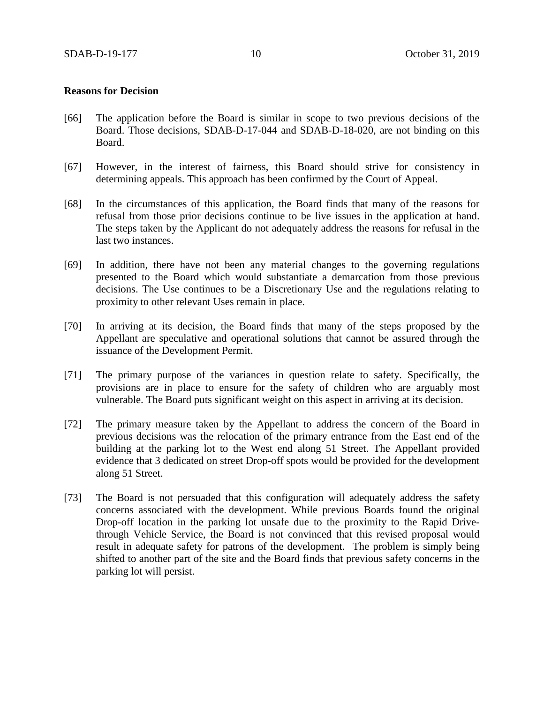#### **Reasons for Decision**

- [66] The application before the Board is similar in scope to two previous decisions of the Board. Those decisions, SDAB-D-17-044 and SDAB-D-18-020, are not binding on this Board.
- [67] However, in the interest of fairness, this Board should strive for consistency in determining appeals. This approach has been confirmed by the Court of Appeal.
- [68] In the circumstances of this application, the Board finds that many of the reasons for refusal from those prior decisions continue to be live issues in the application at hand. The steps taken by the Applicant do not adequately address the reasons for refusal in the last two instances.
- [69] In addition, there have not been any material changes to the governing regulations presented to the Board which would substantiate a demarcation from those previous decisions. The Use continues to be a Discretionary Use and the regulations relating to proximity to other relevant Uses remain in place.
- [70] In arriving at its decision, the Board finds that many of the steps proposed by the Appellant are speculative and operational solutions that cannot be assured through the issuance of the Development Permit.
- [71] The primary purpose of the variances in question relate to safety. Specifically, the provisions are in place to ensure for the safety of children who are arguably most vulnerable. The Board puts significant weight on this aspect in arriving at its decision.
- [72] The primary measure taken by the Appellant to address the concern of the Board in previous decisions was the relocation of the primary entrance from the East end of the building at the parking lot to the West end along 51 Street. The Appellant provided evidence that 3 dedicated on street Drop-off spots would be provided for the development along 51 Street.
- [73] The Board is not persuaded that this configuration will adequately address the safety concerns associated with the development. While previous Boards found the original Drop-off location in the parking lot unsafe due to the proximity to the Rapid Drivethrough Vehicle Service, the Board is not convinced that this revised proposal would result in adequate safety for patrons of the development. The problem is simply being shifted to another part of the site and the Board finds that previous safety concerns in the parking lot will persist.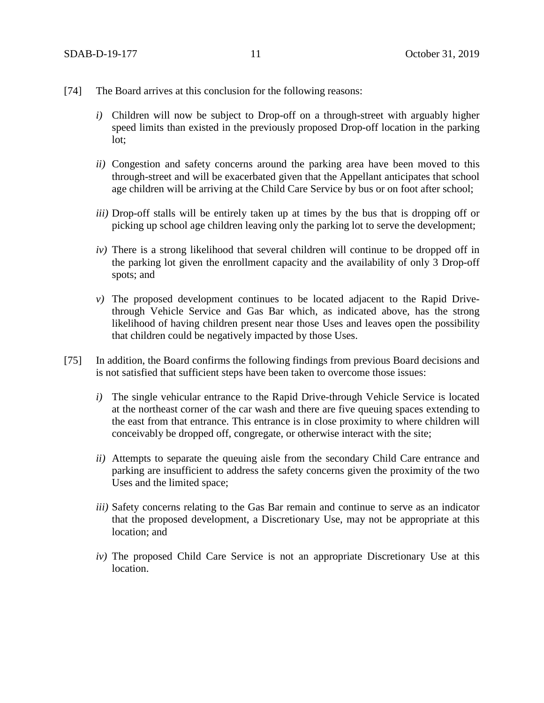- [74] The Board arrives at this conclusion for the following reasons:
	- *i)* Children will now be subject to Drop-off on a through-street with arguably higher speed limits than existed in the previously proposed Drop-off location in the parking lot;
	- *ii)* Congestion and safety concerns around the parking area have been moved to this through-street and will be exacerbated given that the Appellant anticipates that school age children will be arriving at the Child Care Service by bus or on foot after school;
	- *iii)* Drop-off stalls will be entirely taken up at times by the bus that is dropping off or picking up school age children leaving only the parking lot to serve the development;
	- *iv)* There is a strong likelihood that several children will continue to be dropped off in the parking lot given the enrollment capacity and the availability of only 3 Drop-off spots; and
	- *v)* The proposed development continues to be located adjacent to the Rapid Drivethrough Vehicle Service and Gas Bar which, as indicated above, has the strong likelihood of having children present near those Uses and leaves open the possibility that children could be negatively impacted by those Uses.
- [75] In addition, the Board confirms the following findings from previous Board decisions and is not satisfied that sufficient steps have been taken to overcome those issues:
	- *i)* The single vehicular entrance to the Rapid Drive-through Vehicle Service is located at the northeast corner of the car wash and there are five queuing spaces extending to the east from that entrance. This entrance is in close proximity to where children will conceivably be dropped off, congregate, or otherwise interact with the site;
	- *ii*) Attempts to separate the queuing aisle from the secondary Child Care entrance and parking are insufficient to address the safety concerns given the proximity of the two Uses and the limited space;
	- *iii)* Safety concerns relating to the Gas Bar remain and continue to serve as an indicator that the proposed development, a Discretionary Use, may not be appropriate at this location; and
	- *iv)* The proposed Child Care Service is not an appropriate Discretionary Use at this location.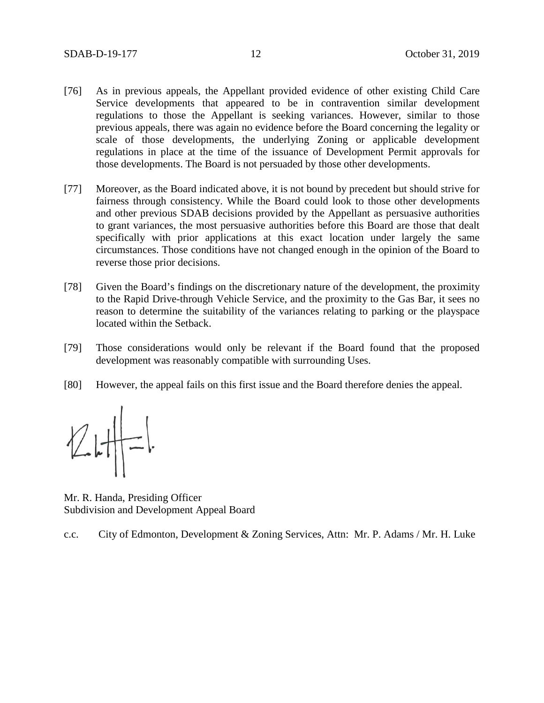- [76] As in previous appeals, the Appellant provided evidence of other existing Child Care Service developments that appeared to be in contravention similar development regulations to those the Appellant is seeking variances. However, similar to those previous appeals, there was again no evidence before the Board concerning the legality or scale of those developments, the underlying Zoning or applicable development regulations in place at the time of the issuance of Development Permit approvals for those developments. The Board is not persuaded by those other developments.
- [77] Moreover, as the Board indicated above, it is not bound by precedent but should strive for fairness through consistency. While the Board could look to those other developments and other previous SDAB decisions provided by the Appellant as persuasive authorities to grant variances, the most persuasive authorities before this Board are those that dealt specifically with prior applications at this exact location under largely the same circumstances. Those conditions have not changed enough in the opinion of the Board to reverse those prior decisions.
- [78] Given the Board's findings on the discretionary nature of the development, the proximity to the Rapid Drive-through Vehicle Service, and the proximity to the Gas Bar, it sees no reason to determine the suitability of the variances relating to parking or the playspace located within the Setback.
- [79] Those considerations would only be relevant if the Board found that the proposed development was reasonably compatible with surrounding Uses.
- [80] However, the appeal fails on this first issue and the Board therefore denies the appeal.

 $V$ 

Mr. R. Handa, Presiding Officer Subdivision and Development Appeal Board

c.c. City of Edmonton, Development & Zoning Services, Attn: Mr. P. Adams / Mr. H. Luke